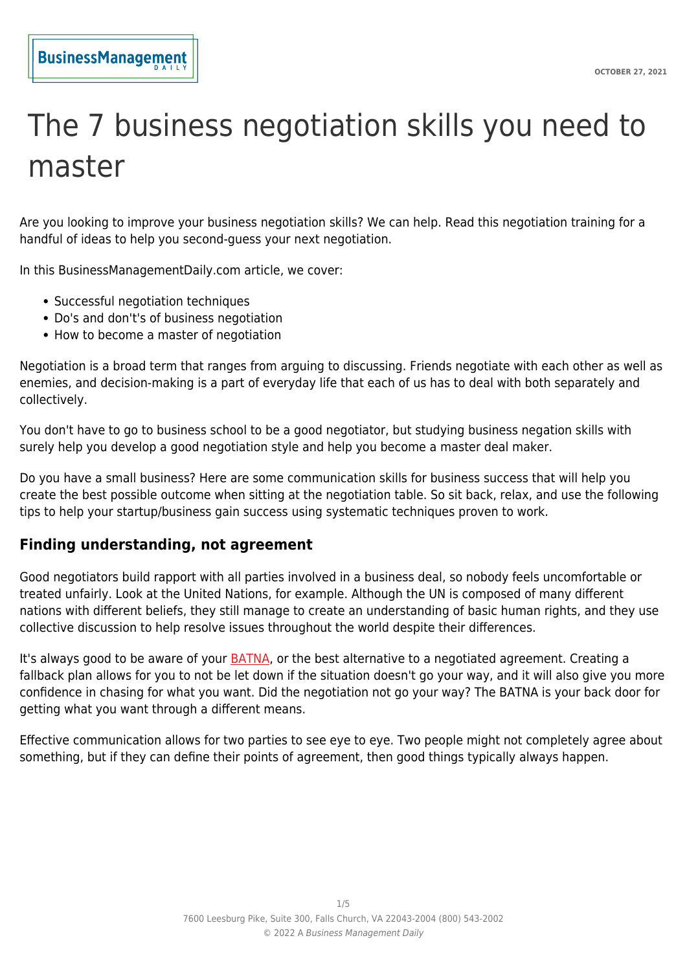# The 7 business negotiation skills you need to master

Are you looking to improve your business negotiation skills? We can help. Read this negotiation training for a handful of ideas to help you second-guess your next negotiation.

In this BusinessManagementDaily.com article, we cover:

- Successful negotiation techniques
- Do's and don't's of business negotiation
- How to become a master of negotiation

Negotiation is a broad term that ranges from arguing to discussing. Friends negotiate with each other as well as enemies, and decision-making is a part of everyday life that each of us has to deal with both separately and collectively.

You don't have to go to business school to be a good negotiator, but studying business negation skills with surely help you develop a good negotiation style and help you become a master deal maker.

Do you have a small business? Here are some communication skills for business success that will help you create the best possible outcome when sitting at the negotiation table. So sit back, relax, and use the following tips to help your startup/business gain success using systematic techniques proven to work.

# **Finding understanding, not agreement**

Good negotiators build rapport with all parties involved in a business deal, so nobody feels uncomfortable or treated unfairly. Look at the United Nations, for example. Although the UN is composed of many different nations with different beliefs, they still manage to create an understanding of basic human rights, and they use collective discussion to help resolve issues throughout the world despite their differences.

It's always good to be aware of your **BATNA**, or the best alternative to a negotiated agreement. Creating a fallback plan allows for you to not be let down if the situation doesn't go your way, and it will also give you more confidence in chasing for what you want. Did the negotiation not go your way? The BATNA is your back door for getting what you want through a different means.

Effective communication allows for two parties to see eye to eye. Two people might not completely agree about something, but if they can define their points of agreement, then good things typically always happen.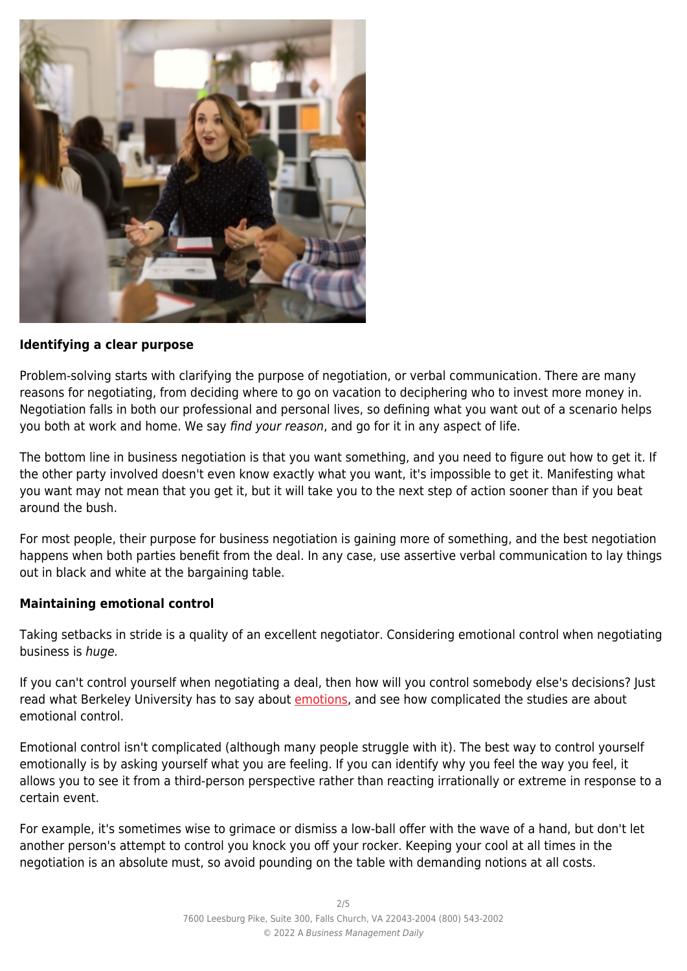

#### **Identifying a clear purpose**

Problem-solving starts with clarifying the purpose of negotiation, or verbal communication. There are many reasons for negotiating, from deciding where to go on vacation to deciphering who to invest more money in. Negotiation falls in both our professional and personal lives, so defining what you want out of a scenario helps you both at work and home. We say find your reason, and go for it in any aspect of life.

The bottom line in business negotiation is that you want something, and you need to figure out how to get it. If the other party involved doesn't even know exactly what you want, it's impossible to get it. Manifesting what you want may not mean that you get it, but it will take you to the next step of action sooner than if you beat around the bush.

For most people, their purpose for business negotiation is gaining more of something, and the best negotiation happens when both parties benefit from the deal. In any case, use assertive verbal communication to lay things out in black and white at the bargaining table.

# **Maintaining emotional control**

Taking setbacks in stride is a quality of an excellent negotiator. Considering emotional control when negotiating business is huge.

If you can't control yourself when negotiating a deal, then how will you control somebody else's decisions? Just read what Berkeley University has to say about [emotions](https://ggie.berkeley.edu/student-well-being/sel-for-students-self-awareness-and-self-management/sel-for-students-emotion-regulation/), and see how complicated the studies are about emotional control.

Emotional control isn't complicated (although many people struggle with it). The best way to control yourself emotionally is by asking yourself what you are feeling. If you can identify why you feel the way you feel, it allows you to see it from a third-person perspective rather than reacting irrationally or extreme in response to a certain event.

For example, it's sometimes wise to grimace or dismiss a low-ball offer with the wave of a hand, but don't let another person's attempt to control you knock you off your rocker. Keeping your cool at all times in the negotiation is an absolute must, so avoid pounding on the table with demanding notions at all costs.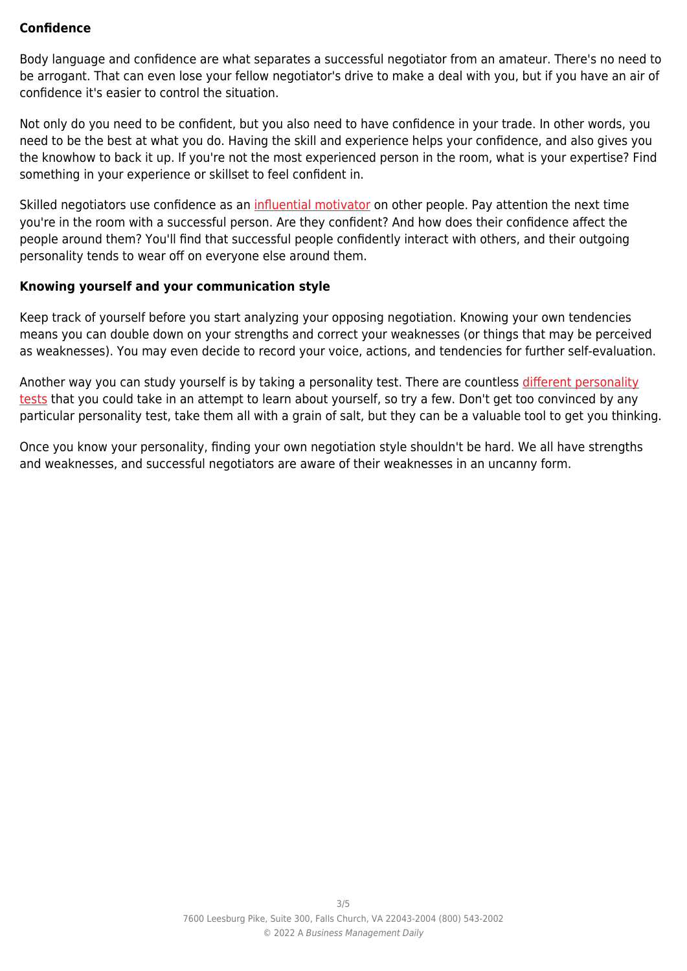# **Confidence**

Body language and confidence are what separates a successful negotiator from an amateur. There's no need to be arrogant. That can even lose your fellow negotiator's drive to make a deal with you, but if you have an air of confidence it's easier to control the situation.

Not only do you need to be confident, but you also need to have confidence in your trade. In other words, you need to be the best at what you do. Having the skill and experience helps your confidence, and also gives you the knowhow to back it up. If you're not the most experienced person in the room, what is your expertise? Find something in your experience or skillset to feel confident in.

Skilled negotiators use confidence as an [influential motivator](https://www.nap.edu/read/2303/chapter/13) on other people. Pay attention the next time you're in the room with a successful person. Are they confident? And how does their confidence affect the people around them? You'll find that successful people confidently interact with others, and their outgoing personality tends to wear off on everyone else around them.

#### **Knowing yourself and your communication style**

Keep track of yourself before you start analyzing your opposing negotiation. Knowing your own tendencies means you can double down on your strengths and correct your weaknesses (or things that may be perceived as weaknesses). You may even decide to record your voice, actions, and tendencies for further self-evaluation.

Another way you can study yourself is by taking a personality test. There are countless [different personality](https://hospitalityinsights.ehl.edu/free-personality-student-young-professional) [tests](https://hospitalityinsights.ehl.edu/free-personality-student-young-professional) that you could take in an attempt to learn about yourself, so try a few. Don't get too convinced by any particular personality test, take them all with a grain of salt, but they can be a valuable tool to get you thinking.

Once you know your personality, finding your own negotiation style shouldn't be hard. We all have strengths and weaknesses, and successful negotiators are aware of their weaknesses in an uncanny form.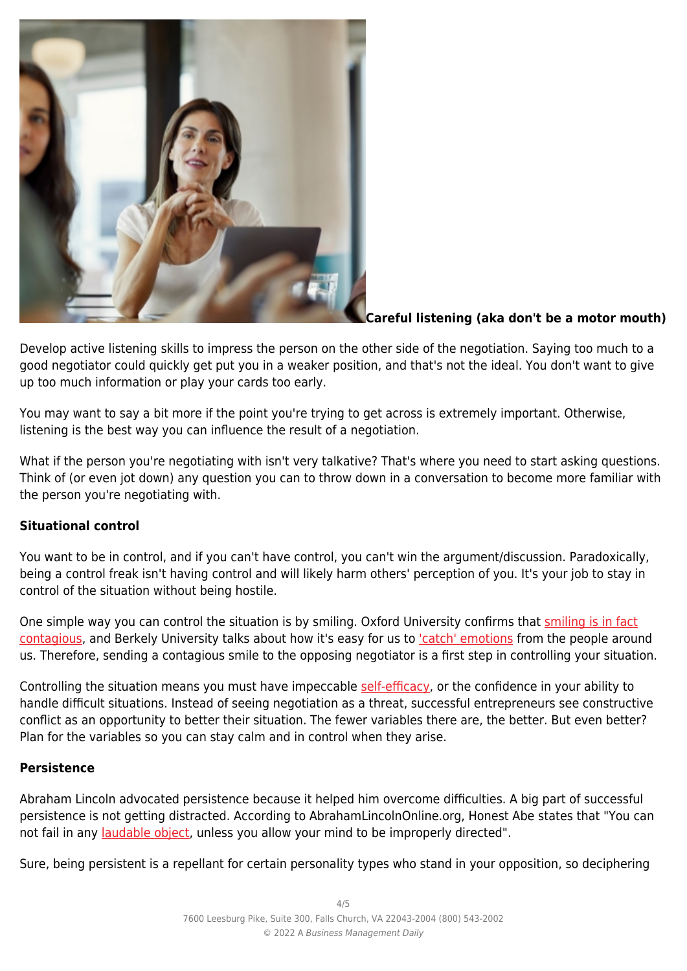

# **Careful listening (aka don't be a motor mouth)**

Develop active listening skills to impress the person on the other side of the negotiation. Saying too much to a good negotiator could quickly get put you in a weaker position, and that's not the ideal. You don't want to give up too much information or play your cards too early.

You may want to say a bit more if the point you're trying to get across is extremely important. Otherwise, listening is the best way you can influence the result of a negotiation.

What if the person you're negotiating with isn't very talkative? That's where you need to start asking questions. Think of (or even jot down) any question you can to throw down in a conversation to become more familiar with the person you're negotiating with.

# **Situational control**

You want to be in control, and if you can't have control, you can't win the argument/discussion. Paradoxically, being a control freak isn't having control and will likely harm others' perception of you. It's your job to stay in control of the situation without being hostile.

One simple way you can control the situation is by smiling. Oxford University confirms that [smiling is in fact](https://oxsci.org/a-smile-can-change-the-world/#:~:text=According%20to%20various%20studies%2C%20smiling,good%20feeling%2C%20causing%20a%20smile!) [contagious](https://oxsci.org/a-smile-can-change-the-world/#:~:text=According%20to%20various%20studies%2C%20smiling,good%20feeling%2C%20causing%20a%20smile!), and Berkely University talks about how it's easy for us to ['catch' emotions](https://greatergood.berkeley.edu/article/item/seven_ways_to_feel_more_in_control_of_your_life) from the people around us. Therefore, sending a contagious smile to the opposing negotiator is a first step in controlling your situation.

Controlling the situation means you must have impeccable [self-efficacy,](https://www.uky.edu/~eushe2/Bandura/BanEncy.html) or the confidence in your ability to handle difficult situations. Instead of seeing negotiation as a threat, successful entrepreneurs see constructive conflict as an opportunity to better their situation. The fewer variables there are, the better. But even better? Plan for the variables so you can stay calm and in control when they arise.

# **Persistence**

Abraham Lincoln advocated persistence because it helped him overcome difficulties. A big part of successful persistence is not getting distracted. According to AbrahamLincolnOnline.org, Honest Abe states that "You can not fail in any [laudable object](http://abrahamlincolnonline.org/), unless you allow your mind to be improperly directed".

Sure, being persistent is a repellant for certain personality types who stand in your opposition, so deciphering